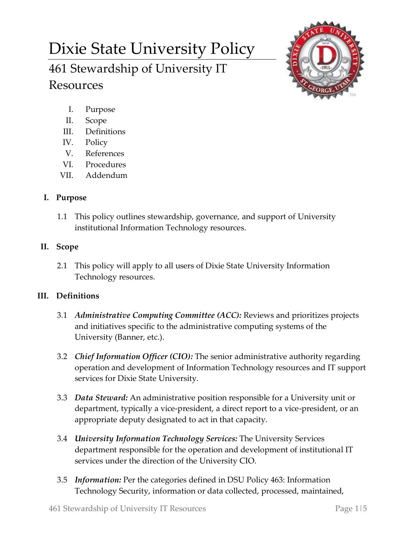# Dixie State University Policy

# 461 Stewardship of University IT Resources



- I. Purpose
- II. Scope
- III. Definitions
- IV. Policy
- V. References
- VI. Procedures
- VII. Addendum

# **I. Purpose**

1.1 This policy outlines stewardship, governance, and support of University institutional Information Technology resources.

## **II. Scope**

2.1 This policy will apply to all users of Dixie State University Information Technology resources.

# **III. Definitions**

- 3.1 *Administrative Computing Committee (ACC):* Reviews and prioritizes projects and initiatives specific to the administrative computing systems of the University (Banner, etc.).
- 3.2 *Chief Information Officer (CIO):* The senior administrative authority regarding operation and development of Information Technology resources and IT support services for Dixie State University.
- 3.3 *Data Steward:* An administrative position responsible for a University unit or department, typically a vice-president, a direct report to a vice-president, or an appropriate deputy designated to act in that capacity.
- 3.4 *University Information Technology Services:* The University Services department responsible for the operation and development of institutional IT services under the direction of the University CIO.
- 3.5 *Information:* Per the categories defined in DSU Policy 463: Information Technology Security, information or data collected, processed, maintained,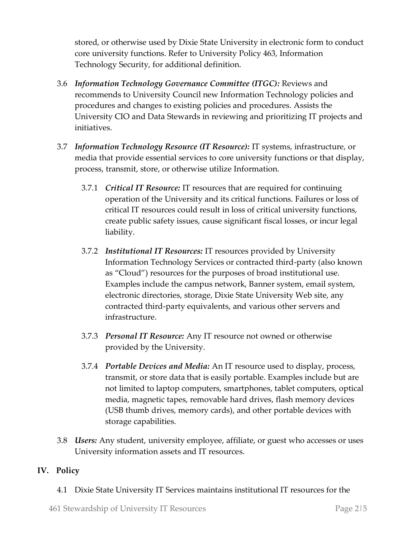stored, or otherwise used by Dixie State University in electronic form to conduct core university functions. Refer to University Policy 463, Information Technology Security, for additional definition.

- 3.6 *Information Technology Governance Committee (ITGC):* Reviews and recommends to University Council new Information Technology policies and procedures and changes to existing policies and procedures. Assists the University CIO and Data Stewards in reviewing and prioritizing IT projects and initiatives.
- 3.7 *Information Technology Resource (IT Resource):* IT systems, infrastructure, or media that provide essential services to core university functions or that display, process, transmit, store, or otherwise utilize Information.
	- 3.7.1 *Critical IT Resource:* IT resources that are required for continuing operation of the University and its critical functions. Failures or loss of critical IT resources could result in loss of critical university functions, create public safety issues, cause significant fiscal losses, or incur legal liability.
	- 3.7.2 *Institutional IT Resources:* IT resources provided by University Information Technology Services or contracted third-party (also known as "Cloud") resources for the purposes of broad institutional use. Examples include the campus network, Banner system, email system, electronic directories, storage, Dixie State University Web site, any contracted third-party equivalents, and various other servers and infrastructure.
	- 3.7.3 *Personal IT Resource:* Any IT resource not owned or otherwise provided by the University.
	- 3.7.4 *Portable Devices and Media:* An IT resource used to display, process, transmit, or store data that is easily portable. Examples include but are not limited to laptop computers, smartphones, tablet computers, optical media, magnetic tapes, removable hard drives, flash memory devices (USB thumb drives, memory cards), and other portable devices with storage capabilities.
- 3.8 *Users:* Any student, university employee, affiliate, or guest who accesses or uses University information assets and IT resources.

### **IV. Policy**

4.1 Dixie State University IT Services maintains institutional IT resources for the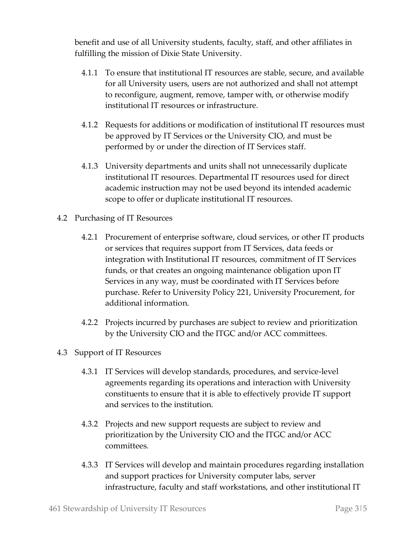benefit and use of all University students, faculty, staff, and other affiliates in fulfilling the mission of Dixie State University.

- 4.1.1 To ensure that institutional IT resources are stable, secure, and available for all University users, users are not authorized and shall not attempt to reconfigure, augment, remove, tamper with, or otherwise modify institutional IT resources or infrastructure.
- 4.1.2 Requests for additions or modification of institutional IT resources must be approved by IT Services or the University CIO, and must be performed by or under the direction of IT Services staff.
- 4.1.3 University departments and units shall not unnecessarily duplicate institutional IT resources. Departmental IT resources used for direct academic instruction may not be used beyond its intended academic scope to offer or duplicate institutional IT resources.
- 4.2 Purchasing of IT Resources
	- 4.2.1 Procurement of enterprise software, cloud services, or other IT products or services that requires support from IT Services, data feeds or integration with Institutional IT resources, commitment of IT Services funds, or that creates an ongoing maintenance obligation upon IT Services in any way, must be coordinated with IT Services before purchase. Refer to University Policy 221, University Procurement, for additional information.
	- 4.2.2 Projects incurred by purchases are subject to review and prioritization by the University CIO and the ITGC and/or ACC committees.
- 4.3 Support of IT Resources
	- 4.3.1 IT Services will develop standards, procedures, and service-level agreements regarding its operations and interaction with University constituents to ensure that it is able to effectively provide IT support and services to the institution.
	- 4.3.2 Projects and new support requests are subject to review and prioritization by the University CIO and the ITGC and/or ACC committees.
	- 4.3.3 IT Services will develop and maintain procedures regarding installation and support practices for University computer labs, server infrastructure, faculty and staff workstations, and other institutional IT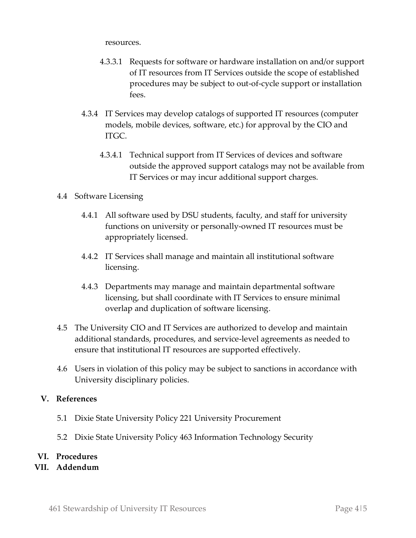resources.

- 4.3.3.1 Requests for software or hardware installation on and/or support of IT resources from IT Services outside the scope of established procedures may be subject to out-of-cycle support or installation fees.
- 4.3.4 IT Services may develop catalogs of supported IT resources (computer models, mobile devices, software, etc.) for approval by the CIO and ITGC.
	- 4.3.4.1 Technical support from IT Services of devices and software outside the approved support catalogs may not be available from IT Services or may incur additional support charges.

#### 4.4 Software Licensing

- 4.4.1 All software used by DSU students, faculty, and staff for university functions on university or personally-owned IT resources must be appropriately licensed.
- 4.4.2 IT Services shall manage and maintain all institutional software licensing.
- 4.4.3 Departments may manage and maintain departmental software licensing, but shall coordinate with IT Services to ensure minimal overlap and duplication of software licensing.
- 4.5 The University CIO and IT Services are authorized to develop and maintain additional standards, procedures, and service-level agreements as needed to ensure that institutional IT resources are supported effectively.
- 4.6 Users in violation of this policy may be subject to sanctions in accordance with University disciplinary policies.

#### **V. References**

- 5.1 Dixie State University Policy 221 University Procurement
- 5.2 Dixie State University Policy 463 Information Technology Security

#### **VI. Procedures**

**VII. Addendum**